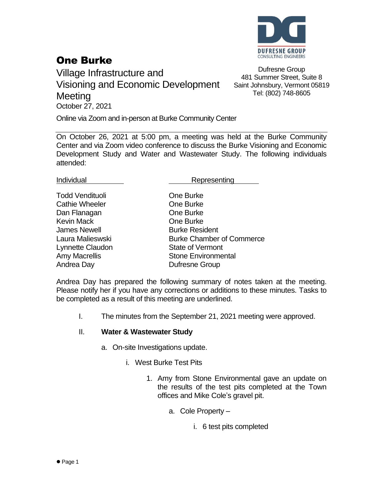

### One Burke

Village Infrastructure and Visioning and Economic Development **Meeting** October 27, 2021

Dufresne Group 481 Summer Street, Suite 8 Saint Johnsbury, Vermont 05819 Tel: (802) 748-8605

Online via Zoom and in-person at Burke Community Center

On October 26, 2021 at 5:00 pm, a meeting was held at the Burke Community Center and via Zoom video conference to discuss the Burke Visioning and Economic Development Study and Water and Wastewater Study. The following individuals attended:

Individual **Representing** 

Todd Vendituoli **Communist Communist Communist Communist Communist Communist Communist Communist Communist Communist Communist Communist Communist Communist Communist Communist Communist Communist Communist Communist Commu** Cathie Wheeler **Cathie Wheeler Cathie** One Burke Dan Flanagan **Dan Flanagan** One Burke Kevin Mack **Communist Communist Communist Communist Communist Communist Communist Communist Communist Communist Communist Communist Communist Communist Communist Communist Communist Communist Communist Communist Communist** James Newell **Burke Resident** Lynnette Claudon State of Vermont Andrea Day **Dufresne Group** 

Laura Malieswski Burke Chamber of Commerce Amy Macrellis **Stone Environmental** 

Andrea Day has prepared the following summary of notes taken at the meeting. Please notify her if you have any corrections or additions to these minutes. Tasks to be completed as a result of this meeting are underlined.

I. The minutes from the September 21, 2021 meeting were approved.

#### II. **Water & Wastewater Study**

- a. On-site Investigations update.
	- i. West Burke Test Pits
		- 1. Amy from Stone Environmental gave an update on the results of the test pits completed at the Town offices and Mike Cole's gravel pit.
			- a. Cole Property
				- i. 6 test pits completed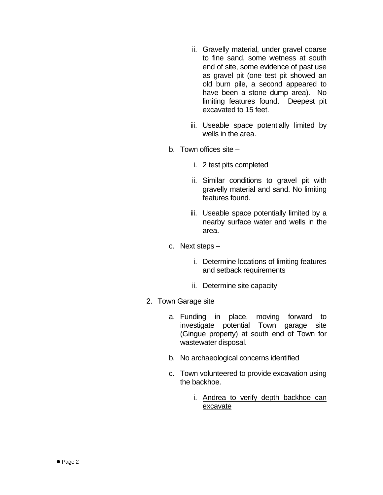- ii. Gravelly material, under gravel coarse to fine sand, some wetness at south end of site, some evidence of past use as gravel pit (one test pit showed an old burn pile, a second appeared to have been a stone dump area). No limiting features found. Deepest pit excavated to 15 feet.
- iii. Useable space potentially limited by wells in the area.
- b. Town offices site
	- i. 2 test pits completed
	- ii. Similar conditions to gravel pit with gravelly material and sand. No limiting features found.
	- iii. Useable space potentially limited by a nearby surface water and wells in the area.
- c. Next steps
	- i. Determine locations of limiting features and setback requirements
	- ii. Determine site capacity
- 2. Town Garage site
	- a. Funding in place, moving forward to investigate potential Town garage site (Gingue property) at south end of Town for wastewater disposal.
	- b. No archaeological concerns identified
	- c. Town volunteered to provide excavation using the backhoe.
		- i. Andrea to verify depth backhoe can excavate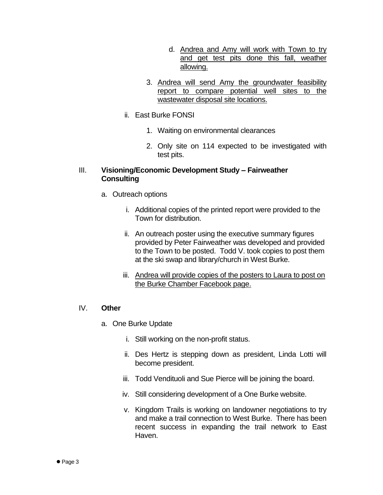- d. Andrea and Amy will work with Town to try and get test pits done this fall, weather allowing.
- 3. Andrea will send Amy the groundwater feasibility report to compare potential well sites to the wastewater disposal site locations.
- ii. East Burke FONSI
	- 1. Waiting on environmental clearances
	- 2. Only site on 114 expected to be investigated with test pits.

### III. **Visioning/Economic Development Study – Fairweather Consulting**

- a. Outreach options
	- i. Additional copies of the printed report were provided to the Town for distribution.
	- ii. An outreach poster using the executive summary figures provided by Peter Fairweather was developed and provided to the Town to be posted. Todd V. took copies to post them at the ski swap and library/church in West Burke.
	- iii. Andrea will provide copies of the posters to Laura to post on the Burke Chamber Facebook page.

#### IV. **Other**

- a. One Burke Update
	- i. Still working on the non-profit status.
	- ii. Des Hertz is stepping down as president, Linda Lotti will become president.
	- iii. Todd Vendituoli and Sue Pierce will be joining the board.
	- iv. Still considering development of a One Burke website.
	- v. Kingdom Trails is working on landowner negotiations to try and make a trail connection to West Burke. There has been recent success in expanding the trail network to East Haven.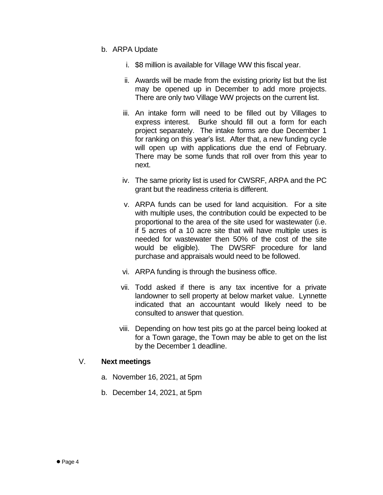- b. ARPA Update
	- i. \$8 million is available for Village WW this fiscal year.
	- ii. Awards will be made from the existing priority list but the list may be opened up in December to add more projects. There are only two Village WW projects on the current list.
	- iii. An intake form will need to be filled out by Villages to express interest. Burke should fill out a form for each project separately. The intake forms are due December 1 for ranking on this year's list. After that, a new funding cycle will open up with applications due the end of February. There may be some funds that roll over from this year to next.
	- iv. The same priority list is used for CWSRF, ARPA and the PC grant but the readiness criteria is different.
	- v. ARPA funds can be used for land acquisition. For a site with multiple uses, the contribution could be expected to be proportional to the area of the site used for wastewater (i.e. if 5 acres of a 10 acre site that will have multiple uses is needed for wastewater then 50% of the cost of the site would be eligible). The DWSRF procedure for land purchase and appraisals would need to be followed.
	- vi. ARPA funding is through the business office.
	- vii. Todd asked if there is any tax incentive for a private landowner to sell property at below market value. Lynnette indicated that an accountant would likely need to be consulted to answer that question.
	- viii. Depending on how test pits go at the parcel being looked at for a Town garage, the Town may be able to get on the list by the December 1 deadline.

#### V. **Next meetings**

- a. November 16, 2021, at 5pm
- b. December 14, 2021, at 5pm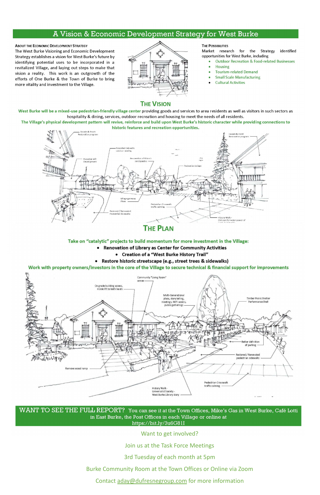### A Vision & Economic Development Strategy for West Burke

**ABOUT THE ECONOMIC DEVELOPMENT STRATEGY** The West Burke Visioning and Economic Development Strategy establishes a vision for West Burke's future by identifying potential uses to be incorporated in a revitalized Village, and laying out steps to make that vision a reality. This work is an outgrowth of the efforts of One Burke & the Town of Burke to bring more vitality and investment to the Village.



#### **THE POSSIBILITIES**

identified Market research for the Strategy opportunities for West Burke, including

- **Outdoor Recreation & Food-related Businesses**
- **Housing**
- **Tourism-related Demand**
- **Small Scale Manufacturing**
- **Cultural Activities**

### **THE VISION**

West Burke will be a mixed-use pedestrian-friendly village center providing goods and services to area residents as well as visitors in such sectors as hospitality & dining, services, outdoor recreation and housing to meet the needs of all residents.

The Village's physical development pattern will revive, reinforce and build upon West Burke's historic character while providing connections to historic features and recreation opportunities.



### **THE PLAN**

#### Take on "catalytic" projects to build momentum for more investment in the Village:

- Renovation of Library as Center for Community Activities
	- Creation of a "West Burke History Trail"
- Restore historic streetscape (e.g., street trees & sidewalks)

Work with property owners/investors in the core of the Village to secure technical & financial support for improvements



 $\rm{WANT}$   $\rm{TO}$   $\rm{SEE}$   $\rm{THE}$   $\rm{FULL}$   $\rm{REPORT?}$  . You can see it at the Town Offices, Mike's Gas in West Burke, Café Lotti in East Burke, the Post Offices in each Village or online at https://bit.ly/3u6G81I

Want to get involved?

Join us at the Task Force Meetings

3rd Tuesday of each month at 5pm

Burke Community Room at the Town Offices or Online via Zoom

Contact aday@dufresnegroup.com for more information